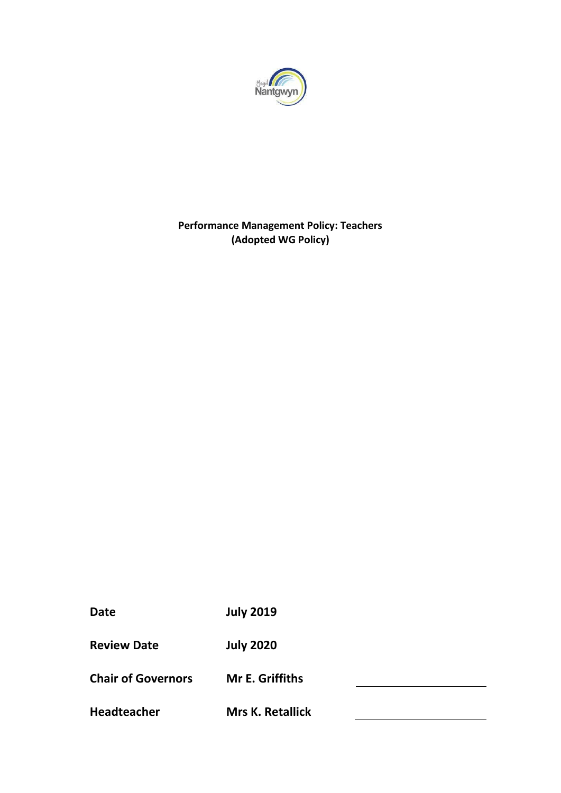

# **Performance Management Policy: Teachers (Adopted WG Policy)**

**Date July 2019**

**Review Date July 2020**

**Chair of Governors Mr E. Griffiths**

**Headteacher Mrs K. Retallick**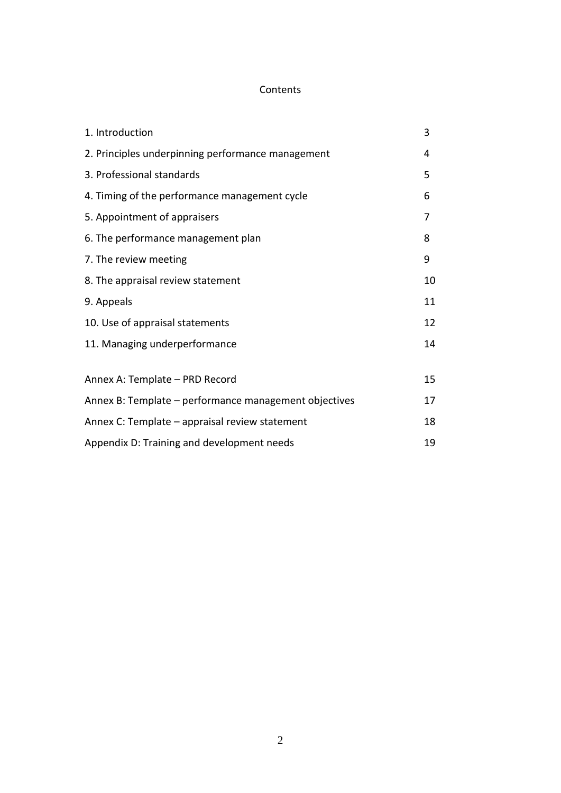## Contents

| 1. Introduction                                       | 3  |
|-------------------------------------------------------|----|
| 2. Principles underpinning performance management     | 4  |
| 3. Professional standards                             | 5  |
| 4. Timing of the performance management cycle         | 6  |
| 5. Appointment of appraisers                          | 7  |
| 6. The performance management plan                    | 8  |
| 7. The review meeting                                 | 9  |
| 8. The appraisal review statement                     | 10 |
| 9. Appeals                                            | 11 |
| 10. Use of appraisal statements                       | 12 |
| 11. Managing underperformance                         | 14 |
|                                                       |    |
| Annex A: Template - PRD Record                        | 15 |
| Annex B: Template - performance management objectives | 17 |
| Annex C: Template – appraisal review statement        | 18 |
| Appendix D: Training and development needs            | 19 |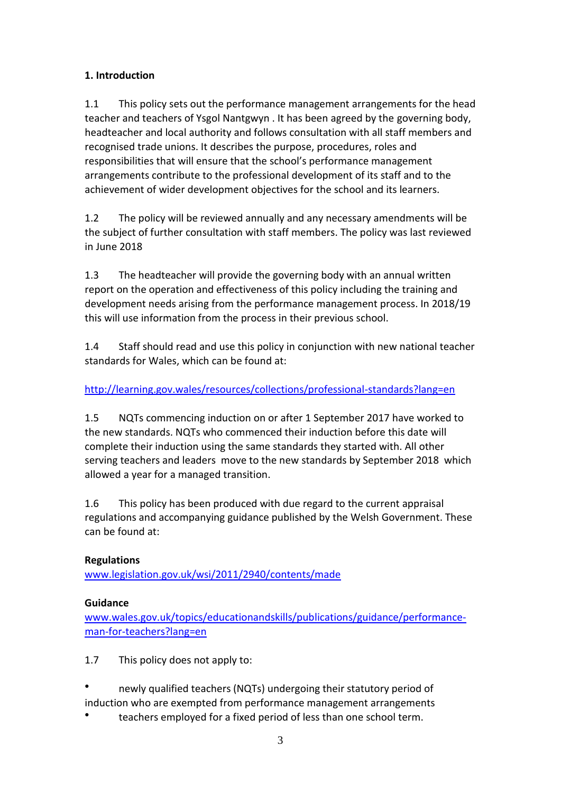# **1. Introduction**

1.1 This policy sets out the performance management arrangements for the head teacher and teachers of Ysgol Nantgwyn . It has been agreed by the governing body, headteacher and local authority and follows consultation with all staff members and recognised trade unions. It describes the purpose, procedures, roles and responsibilities that will ensure that the school's performance management arrangements contribute to the professional development of its staff and to the achievement of wider development objectives for the school and its learners.

1.2 The policy will be reviewed annually and any necessary amendments will be the subject of further consultation with staff members. The policy was last reviewed in June 2018

1.3 The headteacher will provide the governing body with an annual written report on the operation and effectiveness of this policy including the training and development needs arising from the performance management process. In 2018/19 this will use information from the process in their previous school.

1.4 Staff should read and use this policy in conjunction with new national teacher standards for Wales, which can be found at:

# <http://learning.gov.wales/resources/collections/professional-standards?lang=en>

1.5 NQTs commencing induction on or after 1 September 2017 have worked to the new standards. NQTs who commenced their induction before this date will complete their induction using the same standards they started with. All other serving teachers and leaders move to the new standards by September 2018 which allowed a year for a managed transition.

1.6 This policy has been produced with due regard to the current appraisal regulations and accompanying guidance published by the Welsh Government. These can be found at:

## **Regulations**

[www.legislation.gov.uk/wsi/2011/2940/contents/made](http://www.legislation.gov.uk/wsi/2011/2940/contents/made)

## **Guidance**

[www.wales.gov.uk/topics/educationandskills/publications/guidance/performance](http://www.wales.gov.uk/topics/educationandskills/publications/guidance/performance-man-for-teachers?lang=en)[man-for-teachers?lang=en](http://www.wales.gov.uk/topics/educationandskills/publications/guidance/performance-man-for-teachers?lang=en)

1.7 This policy does not apply to:

- newly qualified teachers (NQTs) undergoing their statutory period of induction who are exempted from performance management arrangements
- teachers employed for a fixed period of less than one school term.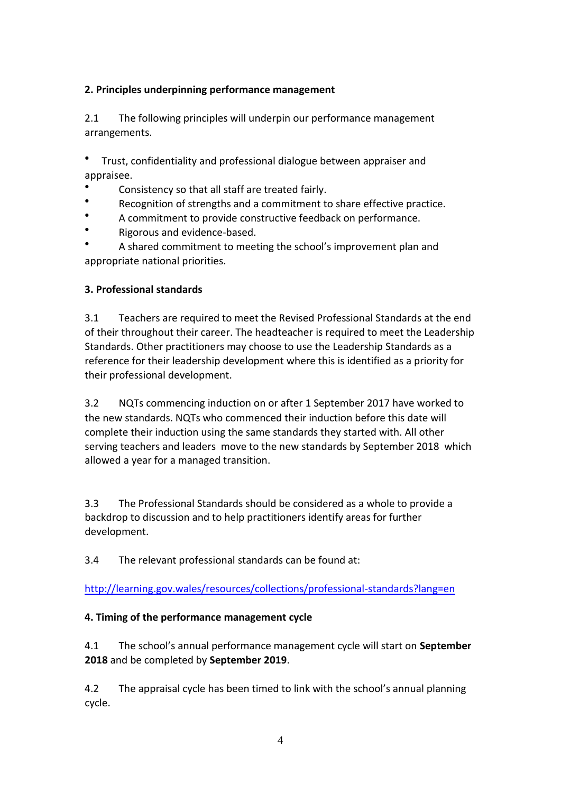## **2. Principles underpinning performance management**

2.1 The following principles will underpin our performance management arrangements.

Trust, confidentiality and professional dialogue between appraiser and appraisee.

- Consistency so that all staff are treated fairly.
- Recognition of strengths and a commitment to share effective practice.
- A commitment to provide constructive feedback on performance.
- Rigorous and evidence-based.

A shared commitment to meeting the school's improvement plan and appropriate national priorities.

#### **3. Professional standards**

3.1 Teachers are required to meet the Revised Professional Standards at the end of their throughout their career. The headteacher is required to meet the Leadership Standards. Other practitioners may choose to use the Leadership Standards as a reference for their leadership development where this is identified as a priority for their professional development.

3.2 NQTs commencing induction on or after 1 September 2017 have worked to the new standards. NQTs who commenced their induction before this date will complete their induction using the same standards they started with. All other serving teachers and leaders move to the new standards by September 2018 which allowed a year for a managed transition.

3.3 The Professional Standards should be considered as a whole to provide a backdrop to discussion and to help practitioners identify areas for further development.

3.4 The relevant professional standards can be found at:

<http://learning.gov.wales/resources/collections/professional-standards?lang=en>

## **4. Timing of the performance management cycle**

4.1 The school's annual performance management cycle will start on **September 2018** and be completed by **September 2019**.

4.2 The appraisal cycle has been timed to link with the school's annual planning cycle.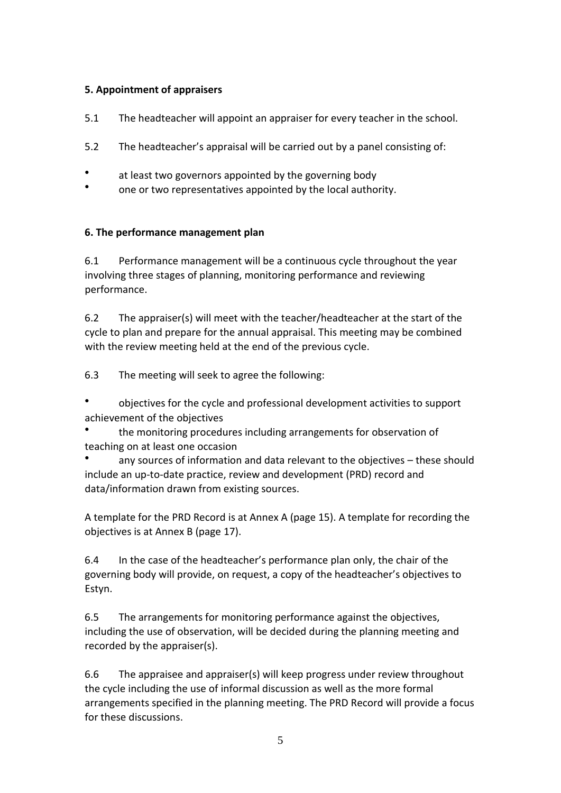#### **5. Appointment of appraisers**

- 5.1 The headteacher will appoint an appraiser for every teacher in the school.
- 5.2 The headteacher's appraisal will be carried out by a panel consisting of:
- at least two governors appointed by the governing body
- one or two representatives appointed by the local authority.

#### **6. The performance management plan**

6.1 Performance management will be a continuous cycle throughout the year involving three stages of planning, monitoring performance and reviewing performance.

6.2 The appraiser(s) will meet with the teacher/headteacher at the start of the cycle to plan and prepare for the annual appraisal. This meeting may be combined with the review meeting held at the end of the previous cycle.

6.3 The meeting will seek to agree the following:

objectives for the cycle and professional development activities to support achievement of the objectives

● the monitoring procedures including arrangements for observation of teaching on at least one occasion

any sources of information and data relevant to the objectives – these should include an up-to-date practice, review and development (PRD) record and data/information drawn from existing sources.

A template for the PRD Record is at Annex A (page 15). A template for recording the objectives is at Annex B (page 17).

6.4 In the case of the headteacher's performance plan only, the chair of the governing body will provide, on request, a copy of the headteacher's objectives to Estyn.

6.5 The arrangements for monitoring performance against the objectives, including the use of observation, will be decided during the planning meeting and recorded by the appraiser(s).

6.6 The appraisee and appraiser(s) will keep progress under review throughout the cycle including the use of informal discussion as well as the more formal arrangements specified in the planning meeting. The PRD Record will provide a focus for these discussions.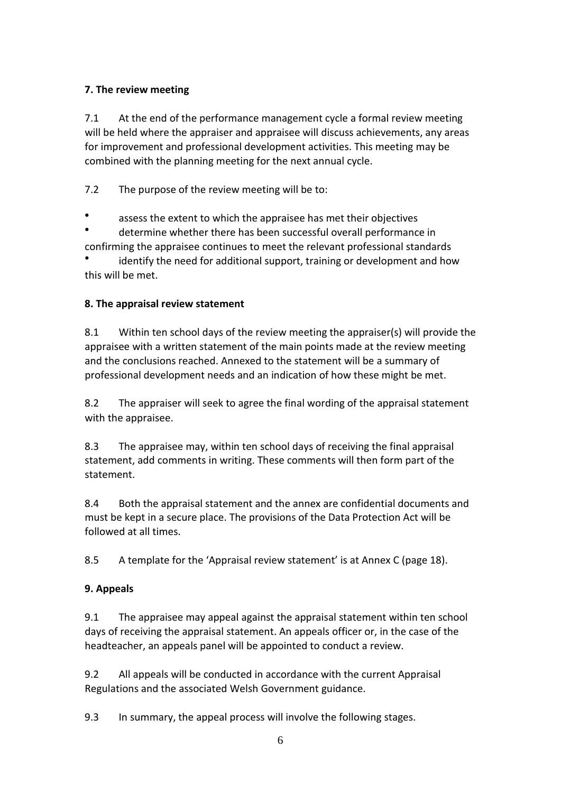# **7. The review meeting**

7.1 At the end of the performance management cycle a formal review meeting will be held where the appraiser and appraisee will discuss achievements, any areas for improvement and professional development activities. This meeting may be combined with the planning meeting for the next annual cycle.

7.2 The purpose of the review meeting will be to:

assess the extent to which the appraisee has met their objectives

determine whether there has been successful overall performance in

confirming the appraisee continues to meet the relevant professional standards ● identify the need for additional support, training or development and how this will be met.

# **8. The appraisal review statement**

8.1 Within ten school days of the review meeting the appraiser(s) will provide the appraisee with a written statement of the main points made at the review meeting and the conclusions reached. Annexed to the statement will be a summary of professional development needs and an indication of how these might be met.

8.2 The appraiser will seek to agree the final wording of the appraisal statement with the appraisee.

8.3 The appraisee may, within ten school days of receiving the final appraisal statement, add comments in writing. These comments will then form part of the statement.

8.4 Both the appraisal statement and the annex are confidential documents and must be kept in a secure place. The provisions of the Data Protection Act will be followed at all times.

8.5 A template for the 'Appraisal review statement' is at Annex C (page 18).

# **9. Appeals**

9.1 The appraisee may appeal against the appraisal statement within ten school days of receiving the appraisal statement. An appeals officer or, in the case of the headteacher, an appeals panel will be appointed to conduct a review.

9.2 All appeals will be conducted in accordance with the current Appraisal Regulations and the associated Welsh Government guidance.

9.3 In summary, the appeal process will involve the following stages.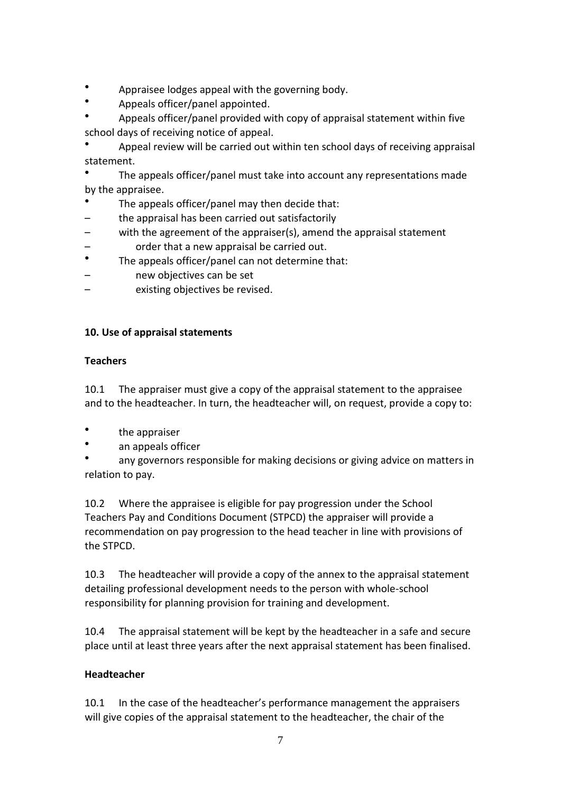- Appraisee lodges appeal with the governing body.
- Appeals officer/panel appointed.
- Appeals officer/panel provided with copy of appraisal statement within five school days of receiving notice of appeal.

Appeal review will be carried out within ten school days of receiving appraisal statement.

The appeals officer/panel must take into account any representations made by the appraisee.

- The appeals officer/panel may then decide that:
- the appraisal has been carried out satisfactorily
- with the agreement of the appraiser(s), amend the appraisal statement – order that a new appraisal be carried out.
- The appeals officer/panel can not determine that:
- new objectives can be set
- existing objectives be revised.

#### **10. Use of appraisal statements**

#### **Teachers**

10.1 The appraiser must give a copy of the appraisal statement to the appraisee and to the headteacher. In turn, the headteacher will, on request, provide a copy to:

- the appraiser
- an appeals officer
- any governors responsible for making decisions or giving advice on matters in relation to pay.

10.2 Where the appraisee is eligible for pay progression under the School Teachers Pay and Conditions Document (STPCD) the appraiser will provide a recommendation on pay progression to the head teacher in line with provisions of the STPCD.

10.3 The headteacher will provide a copy of the annex to the appraisal statement detailing professional development needs to the person with whole-school responsibility for planning provision for training and development.

10.4 The appraisal statement will be kept by the headteacher in a safe and secure place until at least three years after the next appraisal statement has been finalised.

#### **Headteacher**

10.1 In the case of the headteacher's performance management the appraisers will give copies of the appraisal statement to the headteacher, the chair of the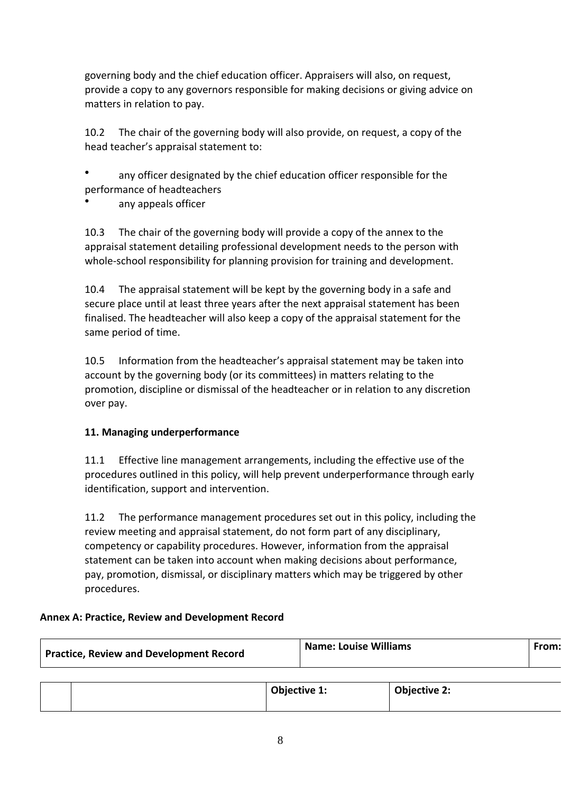governing body and the chief education officer. Appraisers will also, on request, provide a copy to any governors responsible for making decisions or giving advice on matters in relation to pay.

10.2 The chair of the governing body will also provide, on request, a copy of the head teacher's appraisal statement to:

any officer designated by the chief education officer responsible for the performance of headteachers

any appeals officer

10.3 The chair of the governing body will provide a copy of the annex to the appraisal statement detailing professional development needs to the person with whole-school responsibility for planning provision for training and development.

10.4 The appraisal statement will be kept by the governing body in a safe and secure place until at least three years after the next appraisal statement has been finalised. The headteacher will also keep a copy of the appraisal statement for the same period of time.

10.5 Information from the headteacher's appraisal statement may be taken into account by the governing body (or its committees) in matters relating to the promotion, discipline or dismissal of the headteacher or in relation to any discretion over pay.

#### **11. Managing underperformance**

11.1 Effective line management arrangements, including the effective use of the procedures outlined in this policy, will help prevent underperformance through early identification, support and intervention.

11.2 The performance management procedures set out in this policy, including the review meeting and appraisal statement, do not form part of any disciplinary, competency or capability procedures. However, information from the appraisal statement can be taken into account when making decisions about performance, pay, promotion, dismissal, or disciplinary matters which may be triggered by other procedures.

#### **Annex A: Practice, Review and Development Record**

| <b>Practice, Review and Development Record</b> |  | <b>Name: Louise Williams</b> |  | From:               |  |
|------------------------------------------------|--|------------------------------|--|---------------------|--|
|                                                |  |                              |  |                     |  |
|                                                |  | <b>Objective 1:</b>          |  | <b>Objective 2:</b> |  |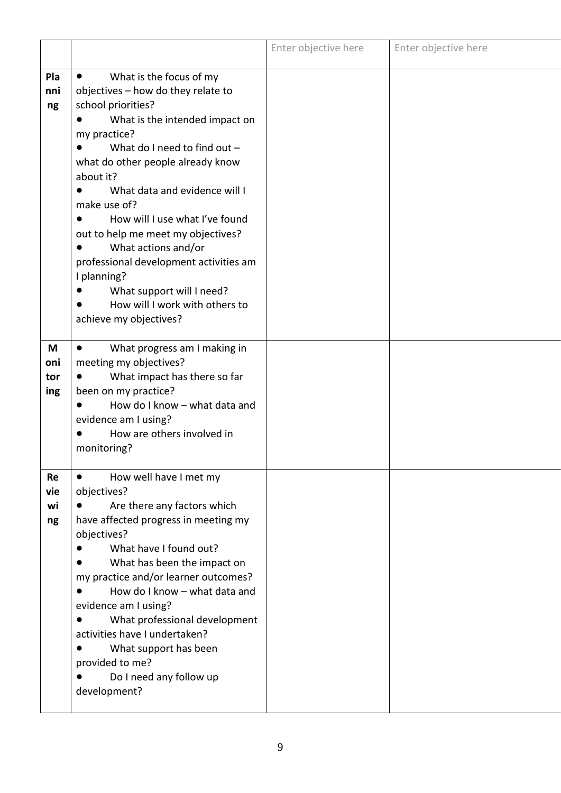|                              |                                                                                                                                                                                                                                                                                                                                                                                                                                                                                                                                          | Enter objective here | Enter objective here |
|------------------------------|------------------------------------------------------------------------------------------------------------------------------------------------------------------------------------------------------------------------------------------------------------------------------------------------------------------------------------------------------------------------------------------------------------------------------------------------------------------------------------------------------------------------------------------|----------------------|----------------------|
| Pla<br>nni<br>ng             | What is the focus of my<br>$\bullet$<br>objectives - how do they relate to<br>school priorities?<br>What is the intended impact on<br>my practice?<br>What do I need to find out $-$<br>what do other people already know<br>about it?<br>What data and evidence will I<br>make use of?<br>How will I use what I've found<br>out to help me meet my objectives?<br>What actions and/or<br>professional development activities am<br>I planning?<br>What support will I need?<br>How will I work with others to<br>achieve my objectives? |                      |                      |
| M<br>oni<br>tor<br>ing       | What progress am I making in<br>$\bullet$<br>meeting my objectives?<br>What impact has there so far<br>been on my practice?<br>How do I know - what data and<br>evidence am I using?<br>How are others involved in<br>monitoring?                                                                                                                                                                                                                                                                                                        |                      |                      |
| <b>Re</b><br>vie<br>wi<br>ng | How well have I met my<br>$\bullet$<br>objectives?<br>Are there any factors which<br>have affected progress in meeting my<br>objectives?<br>What have I found out?<br>What has been the impact on<br>my practice and/or learner outcomes?<br>How do I know - what data and<br>evidence am I using?<br>What professional development<br>activities have I undertaken?<br>What support has been<br>provided to me?<br>Do I need any follow up<br>development?                                                                              |                      |                      |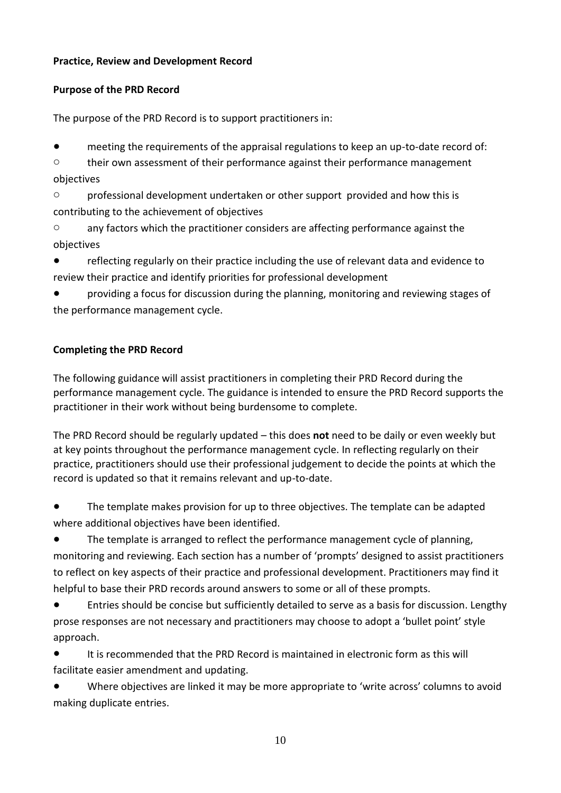## **Practice, Review and Development Record**

## **Purpose of the PRD Record**

The purpose of the PRD Record is to support practitioners in:

● meeting the requirements of the appraisal regulations to keep an up-to-date record of:

o their own assessment of their performance against their performance management objectives

o professional development undertaken or other support provided and how this is contributing to the achievement of objectives

o any factors which the practitioner considers are affecting performance against the objectives

● reflecting regularly on their practice including the use of relevant data and evidence to review their practice and identify priorities for professional development

● providing a focus for discussion during the planning, monitoring and reviewing stages of the performance management cycle.

## **Completing the PRD Record**

The following guidance will assist practitioners in completing their PRD Record during the performance management cycle. The guidance is intended to ensure the PRD Record supports the practitioner in their work without being burdensome to complete.

The PRD Record should be regularly updated – this does **not** need to be daily or even weekly but at key points throughout the performance management cycle. In reflecting regularly on their practice, practitioners should use their professional judgement to decide the points at which the record is updated so that it remains relevant and up-to-date.

● The template makes provision for up to three objectives. The template can be adapted where additional objectives have been identified.

The template is arranged to reflect the performance management cycle of planning, monitoring and reviewing. Each section has a number of 'prompts' designed to assist practitioners to reflect on key aspects of their practice and professional development. Practitioners may find it helpful to base their PRD records around answers to some or all of these prompts.

● Entries should be concise but sufficiently detailed to serve as a basis for discussion. Lengthy prose responses are not necessary and practitioners may choose to adopt a 'bullet point' style approach.

● It is recommended that the PRD Record is maintained in electronic form as this will facilitate easier amendment and updating.

Where objectives are linked it may be more appropriate to 'write across' columns to avoid making duplicate entries.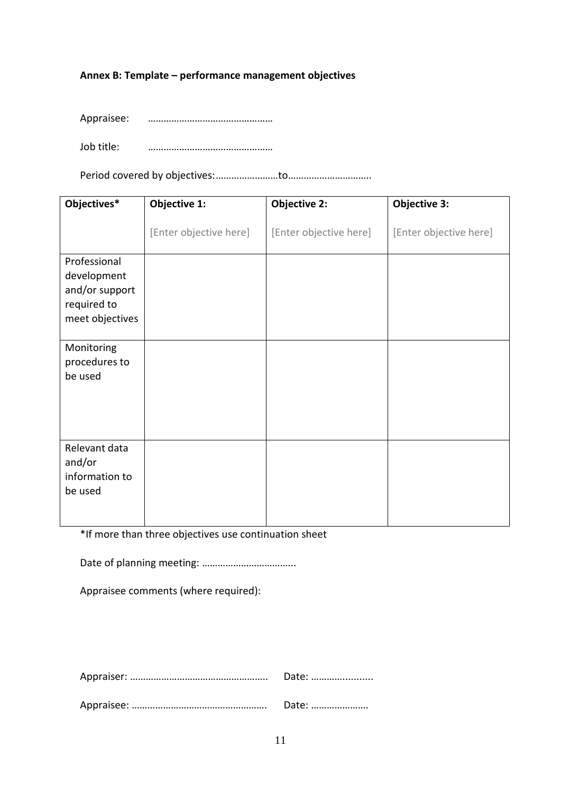### **Annex B: Template – performance management objectives**

| Appraisee: |  |
|------------|--|
|            |  |

Job title: …………………………………………

Period covered by objectives:……………………to…………………………..

| Objectives*                                                                     | Objective 1:           | <b>Objective 2:</b>    | <b>Objective 3:</b>    |
|---------------------------------------------------------------------------------|------------------------|------------------------|------------------------|
|                                                                                 | [Enter objective here] | [Enter objective here] | [Enter objective here] |
| Professional<br>development<br>and/or support<br>required to<br>meet objectives |                        |                        |                        |
| Monitoring<br>procedures to<br>be used                                          |                        |                        |                        |
| Relevant data<br>and/or<br>information to<br>be used                            |                        |                        |                        |

\*If more than three objectives use continuation sheet

Date of planning meeting: ……………………………...

Appraisee comments (where required):

| Date: |
|-------|
| Date: |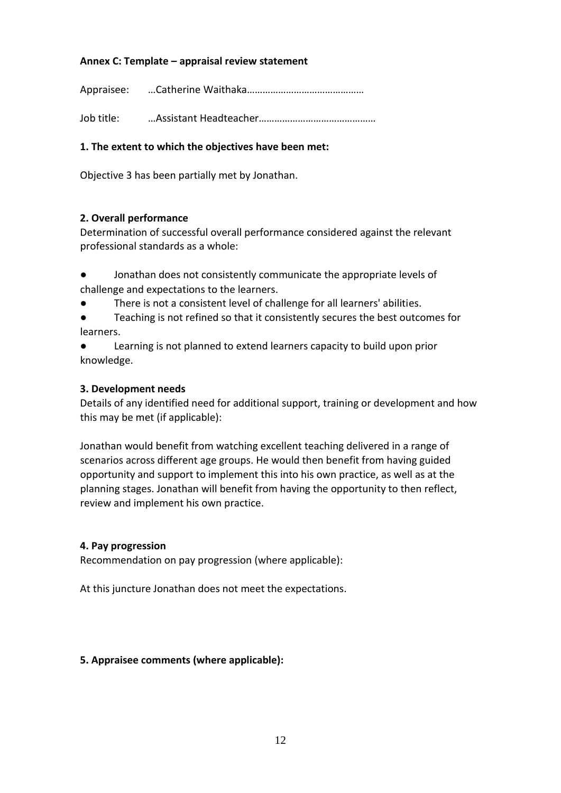### **Annex C: Template – appraisal review statement**

Appraisee: …Catherine Waithaka………………………………………

Job title: …Assistant Headteacher………………………………………

## **1. The extent to which the objectives have been met:**

Objective 3 has been partially met by Jonathan.

#### **2. Overall performance**

Determination of successful overall performance considered against the relevant professional standards as a whole:

- Jonathan does not consistently communicate the appropriate levels of challenge and expectations to the learners.
- There is not a consistent level of challenge for all learners' abilities.

Teaching is not refined so that it consistently secures the best outcomes for learners.

● Learning is not planned to extend learners capacity to build upon prior knowledge.

#### **3. Development needs**

Details of any identified need for additional support, training or development and how this may be met (if applicable):

Jonathan would benefit from watching excellent teaching delivered in a range of scenarios across different age groups. He would then benefit from having guided opportunity and support to implement this into his own practice, as well as at the planning stages. Jonathan will benefit from having the opportunity to then reflect, review and implement his own practice.

#### **4. Pay progression**

Recommendation on pay progression (where applicable):

At this juncture Jonathan does not meet the expectations.

#### **5. Appraisee comments (where applicable):**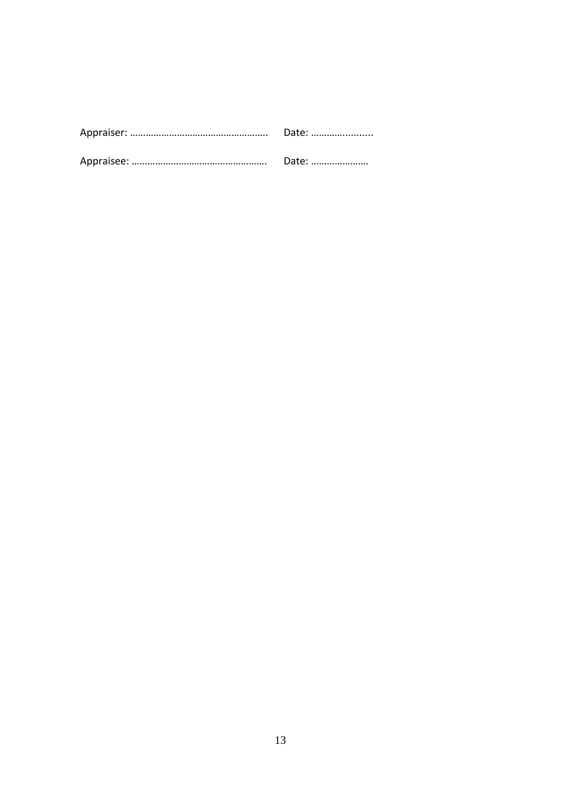| Date: |
|-------|
| Date: |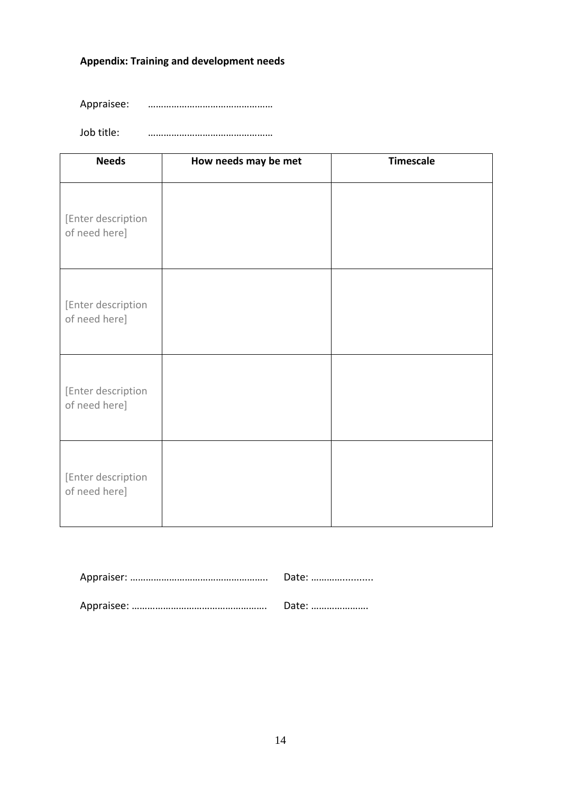# **Appendix: Training and development needs**

Appraisee: …………………………………………

Job title: …………………………………………

| <b>Needs</b>                        | How needs may be met | <b>Timescale</b> |
|-------------------------------------|----------------------|------------------|
| [Enter description<br>of need here] |                      |                  |
| [Enter description<br>of need here] |                      |                  |
| [Enter description<br>of need here] |                      |                  |
| [Enter description<br>of need here] |                      |                  |

| Date: |
|-------|